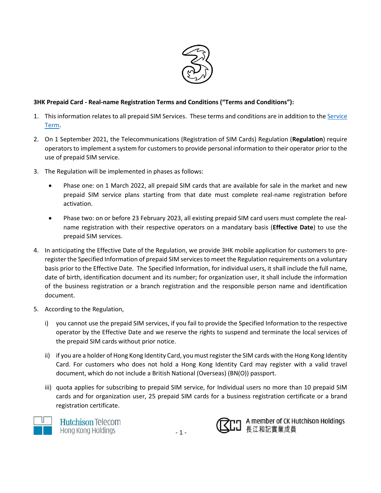

## **3HK Prepaid Card - Real-name Registration Terms and Conditions ("Terms and Conditions"):**

- 1. This information relates to all prepaid SIM Services. These terms and conditions are in addition to th[e Service](https://web.three.com.hk/terms/psctnc/index-en.html) [Term.](https://web.three.com.hk/terms/psctnc/index-en.html)
- 2. On 1 September 2021, the Telecommunications (Registration of SIM Cards) Regulation (**Regulation**) require operators to implement a system for customers to provide personal information to their operator prior to the use of prepaid SIM service.
- 3. The Regulation will be implemented in phases as follows:
	- Phase one: on 1 March 2022, all prepaid SIM cards that are available for sale in the market and new prepaid SIM service plans starting from that date must complete real-name registration before activation.
	- Phase two: on or before 23 February 2023, all existing prepaid SIM card users must complete the realname registration with their respective operators on a mandatary basis (**Effective Date**) to use the prepaid SIM services.
- 4. In anticipating the Effective Date of the Regulation, we provide 3HK mobile application for customers to preregister the Specified Information of prepaid SIM services to meet the Regulation requirements on a voluntary basis prior to the Effective Date. The Specified Information, for individual users, it shall include the full name, date of birth, identification document and its number; for organization user, it shall include the information of the business registration or a branch registration and the responsible person name and identification document.
- 5. According to the Regulation,
	- i) you cannot use the prepaid SIM services, if you fail to provide the Specified Information to the respective operator by the Effective Date and we reserve the rights to suspend and terminate the local services of the prepaid SIM cards without prior notice.
	- ii) if you are a holder of Hong Kong Identity Card, you must register the SIM cards with the Hong Kong Identity Card. For customers who does not hold a Hong Kong Identity Card may register with a valid travel document, which do not include a British National (Overseas) (BN(O)) passport.
	- iii) quota applies for subscribing to prepaid SIM service, for Individual users no more than 10 prepaid SIM cards and for organization user, 25 prepaid SIM cards for a business registration certificate or a brand registration certificate.



**Hutchison Telecom** Hong Kong Holdings



**MODITY A member of CK Hutchison Holdings**<br>SLI 長江和記實業成員